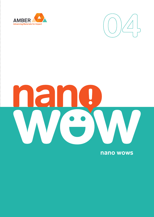



# $\begin{array}{|c|} \hline \bullet & \bullet \end{array}$

nano wows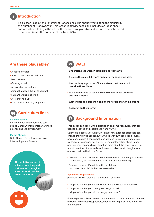

## **Introduction**

 This lesson is about the Potential of Nanoscience. It is about investigating the plausibility of a number of "NanoWOWs". This lesson is activity based and includes an ideas sheet and worksheet. To begin the lesson the concepts of plausible and tentative are introduced in order to discuss the potential of the NanoWOWs.

# **Are these plausable?**

- A space elevator
- A robot that could swim in your blood stream
- Growing a brain
- An invisible nano-cloak
- Jeans that clean the air as you walk
- Humans walking up walls
- A TV that rolls up
- Clothes that charge your phone

# **Curriculum links**

### **Science Strand:**

Environmental awareness and care Strand Units: Environmental awareness, Science and the environment

### **Maths Strand:**

Data. Strand Units: Representing and interpreting data, Chance

> **The tentative nature of science is exciting and it allows us to imagine what our world will be like in the future**

# **WALT**

- **Understand the words 'Plausible' and 'Tentative'**
- **Discuss the plausibility of a number of nanoscience ideas**
- **Use the language of the 'Chance' strand unit in maths to describe these ideas**
- **Make predictions based on what we know about our world and how it works**
- **Gather data and present it on bar charts/pie charts/line graphs**
- **Research on the Internet**

# **Background Information**

This lesson can begin with a discussion on some vocabulary that can used to describe and explore the NanoWOWs.

Science is a 'tentative' subject. In light of new evidence scientists can change their minds about how our world works. When people invent new technologies it can sometimes allow us to learn more about our world. New telescopes have given us more information about Space and new microscopes have taught us more about the nano world. The tentative nature of science is exciting and it allows us to imagine what our world will be like in the future.

- Discuss the word 'Tentative' with the children. If something is tentative it is not fixed, it is developmental and it is subject to change.
- Discuss the word 'Plausible' with the children. Is an idea plausible? Is the idea reasonable?

### **Synonyms for plausible:**

probable – likely – credible – believable – possible

- Is it plausible that your county could win the Football All Ireland?
- Is it plausible that you could grow wings today?
- Is it plausible that you will be hungry in an hour?

Encourage the children to use the vocabulary of uncertainty and chance (linked with maths) e.g., possible, impossible, might, certain, uncertain and not sure.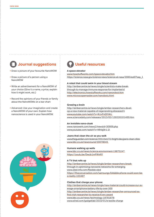# **Journal suggestions**

- Draw a picture of your favourite NanoWOW
- Draw a picture of a person using a NanoWOW
- Write an advertisement for a NanoWOW of your choice (Give it a name, a price, explain how it might work, etc.)
- Record the opinions of your friends or family about the NanoWOWs on a bar chart
- Advanced: Use your imagination and create a NanoWOW of your own. Explain how nanoscience is used in your NanoWOW.



# **Useful resources**

### **A space elevator**

www.howstuffworks.com/space-elevator.htm https://science.nasa.gov/science-news/science-at-nasa/2000/ast07sep\_1

### **A robot that could swim in your blood stream**

http://ambercentre.ie/news/single/scientists-make-breakthrough-to-manage-immune-response-for-implanted-d http://electronics.howstuffworks.com/nanorobot.htm www.microscopemaster.com/nanobots.html

### **Growing a brain**

http://ambercentre.ie/news/single/amber-researchers-develop-a-new-material-capable-of-regenerating-diseased-h www.youtube.com/watch?v=lKJvFnQYhKc www.sciencedaily.com/releases/2013/02/130226101400.htm

### **An invisible nano-cloak**

www.nanowerk.com/news2/newsid=30909.php www.youtube.com/watch?v=Nfnbj9r1-2I

### **Jeans that clean the air as you walk**

www.theguardian.com/science/2012/oct/21/bright-idea-jeans-clean-cities www.bbc.co.uk/newsround/20078045

### **Humans walking up walls**

www.bbc.co.uk/news/science-environment-19875247 https://youtu.be/Dwcb1mFWnNY

### **A TV that rolls up**

http://ambercentre.ie/news/single/amber-researchers-breakthrough-in-optimising-nanowire-networks-for-emerging www.oled-info.com/flexible-oled https://theconversation.com/samsungs-foldable-phone-could-soon-bea-reality-103487

### **Clothes that charge your phone:**

http://ambercentre.ie/news/single/new-material-could-increase-our-average-smartphone-battery-life-by-over-300 http://ambercentre.ie/news/single/amber-researcher-announced-asfirst-irish-researcher-to-receive-6-erc-award www.bbc.co.uk/news/technology-18781878 www.wired.com/gadgetlab/2010/01/e-textile-charge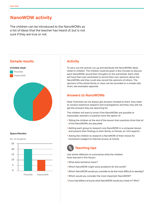# **NanoWOW activity**

The children can be introduced to the NanoWOWs as a list of ideas that the teacher has heard of, but is not sure if they are true or not.



### **Space Elevator**

15 20  $25$ No. of students

# $\Omega$ 5 10

Possible Impossible

### **Activity**

To carry out the activity cut up and distribute the NanoWOWs ideas sheet to children. The children could be given a few minutes to discuss each NanoWOW, record their thoughts on the worksheet. Each child will have their own worksheet to record their own opinions about the NanoWOWs and they could also record the opinions of others. The opinions of the whole family or class can be recorded on a simple tally chart, see examples opposite.

### **Answers to NanoWOWs**

Note: Scientists do not always get answers handed to them, they need to conduct extensive research and investigations and they may still not get the answers they are searching for.

The children will want to know if the NanoWOWs are possible or impossible, teachers or parents have the option of:

- Telling the children at the end of the lesson that scientists think that all of the NanoWOWs are plausible.
- Getting each group to research one NanoWOW in a computer lesson and present their findings to their family, or friends, as 'mini experts'.
- Asking the children to research a NanoWOW of their choice for homework (subject to Internet access at home).

# **Teaching tips**

Use whole reflection to summarise what the children have learned in this lesson:

- What does tentative mean?
- Which NanoWOW might solve problems for the world?
- Which NanoWOW would you consider to be the most difficult to develop?
- Which would you consider the most important NanoWOW?
- If you had billions of euros what NanoWOW would you invest in? Why?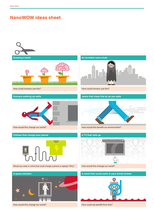# **NanoWOW ideas sheet**